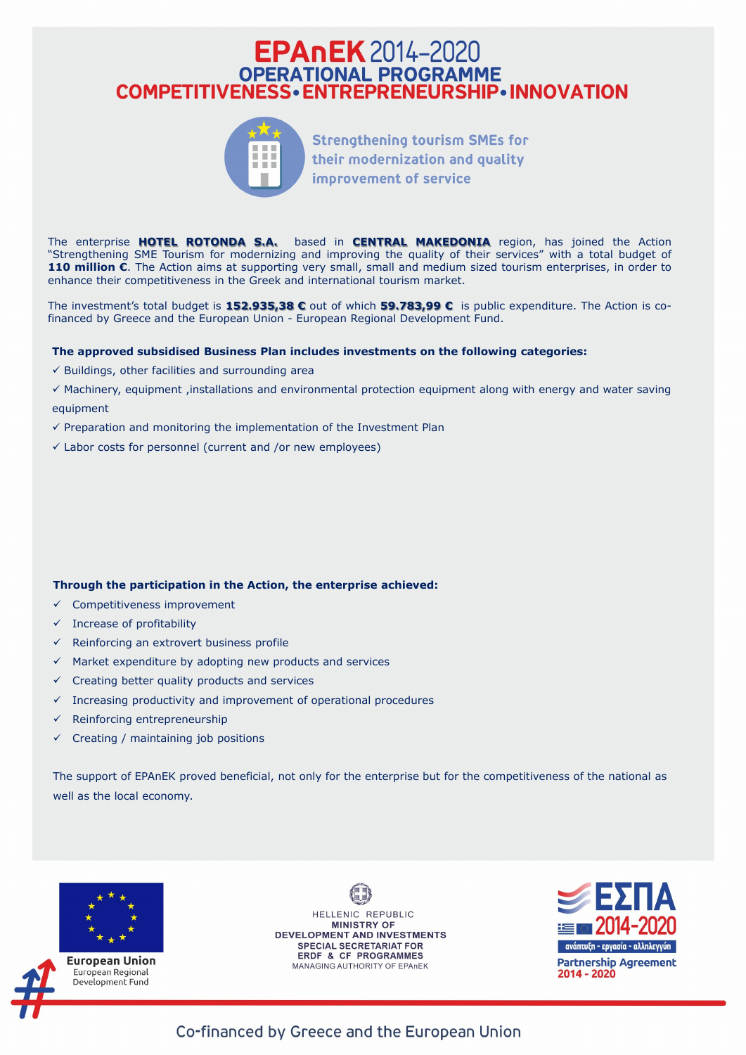# **EPAnEK** 2014-2020 **OPERATIONAL PROGRAMME COMPETITIVENESS · ENTREPRENEURSHIP · INNOVATION**



**Strengthening tourism SMEs for** their modernization and quality improvement of service

The enterprise **HOTEL ROTONDA S.A.** based in **CENTRAL MAKEDONIA** region, has joined the Action "Strengthening SME Tourism for modernizing and improving the quality of their services" with a total budget of 110 million €. The Action aims at supporting very small, small and medium sized tourism enterprises, in order to enhance their competitiveness in the Greek and international tourism market.

The investment's total budget is **152.935,38 €** out of which **59.783,99 €** is public expenditure. The Action is cofinanced by Greece and the European Union - European Regional Development Fund.

### **The approved subsidised Business Plan includes investments on the following categories:**

- $\checkmark$  Buildings, other facilities and surrounding area
- $\checkmark$  Machinery, equipment ,installations and environmental protection equipment along with energy and water saving equipment
- $\checkmark$  Preparation and monitoring the implementation of the Investment Plan
- $\checkmark$  Labor costs for personnel (current and /or new employees)

### **Through the participation in the Action, the enterprise achieved:**

- $\checkmark$  Competitiveness improvement
- $\checkmark$  Increase of profitability
- $\checkmark$  Reinforcing an extrovert business profile
- $\checkmark$  Market expenditure by adopting new products and services
- $\checkmark$  Creating better quality products and services
- $\checkmark$  Increasing productivity and improvement of operational procedures
- $\checkmark$  Reinforcing entrepreneurship
- $\checkmark$  Creating / maintaining job positions

The support of EPAnEK proved beneficial, not only for the enterprise but for the competitiveness of the national as well as the local economy.





**European Union** European Regional Development Fund

HELLENIC REPUBLIC **MINISTRY OF DEVELOPMENT AND INVESTMENTS SPECIAL SECRETARIAT FOR ERDF & CF PROGRAMMES MANAGING AUTHORITY OF EPAnEK** 

ΈΣΠΑ 2014-2020 ανάπτυξη - εργασία - αλληλεγγύη **Partnership Agreement** 2014 - 2020

Co-financed by Greece and the European Union